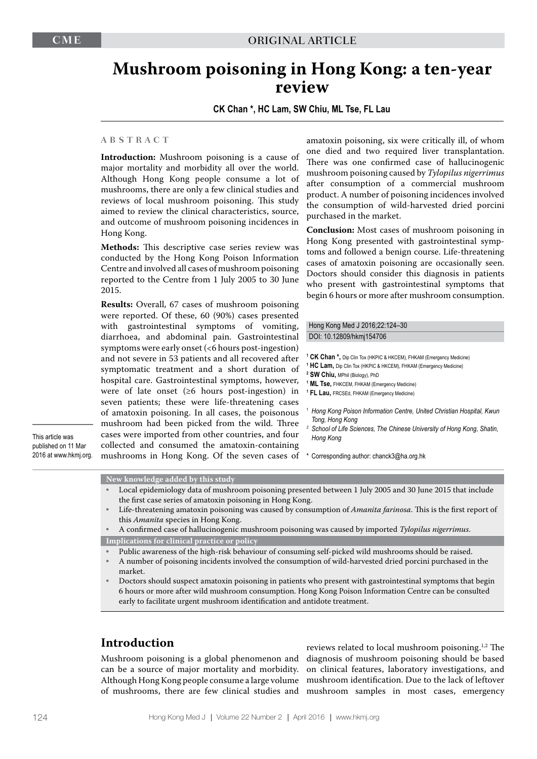# **Mushroom poisoning in Hong Kong: a ten-year review**

**CK Chan \*, HC Lam, SW Chiu, ML Tse, FL Lau**

### **A B S T R A C T**

**Introduction:** Mushroom poisoning is a cause of major mortality and morbidity all over the world. Although Hong Kong people consume a lot of mushrooms, there are only a few clinical studies and reviews of local mushroom poisoning. This study aimed to review the clinical characteristics, source, and outcome of mushroom poisoning incidences in Hong Kong.

**Methods:** This descriptive case series review was conducted by the Hong Kong Poison Information Centre and involved all cases of mushroom poisoning reported to the Centre from 1 July 2005 to 30 June 2015.

**Results:** Overall, 67 cases of mushroom poisoning were reported. Of these, 60 (90%) cases presented with gastrointestinal symptoms of vomiting, diarrhoea, and abdominal pain. Gastrointestinal symptoms were early onset (<6 hours post-ingestion) and not severe in 53 patients and all recovered after symptomatic treatment and a short duration of hospital care. Gastrointestinal symptoms, however, were of late onset  $(\geq 6$  hours post-ingestion) in seven patients; these were life-threatening cases of amatoxin poisoning. In all cases, the poisonous mushroom had been picked from the wild. Three cases were imported from other countries, and four collected and consumed the amatoxin-containing mushrooms in Hong Kong. Of the seven cases of

This article was published on 11 Mar amatoxin poisoning, six were critically ill, of whom one died and two required liver transplantation. There was one confirmed case of hallucinogenic mushroom poisoning caused by *Tylopilus nigerrimus* after consumption of a commercial mushroom product. A number of poisoning incidences involved the consumption of wild-harvested dried porcini purchased in the market.

**Conclusion:** Most cases of mushroom poisoning in Hong Kong presented with gastrointestinal symptoms and followed a benign course. Life-threatening cases of amatoxin poisoning are occasionally seen. Doctors should consider this diagnosis in patients who present with gastrointestinal symptoms that begin 6 hours or more after mushroom consumption.

### Hong Kong Med J 2016;22:124–30 DOI: 10.12809/hkmj154706

- **1 CK Chan \*,** Dip Clin Tox (HKPIC & HKCEM), FHKAM (Emergency Medicine)
- **1 HC Lam,** Dip Clin Tox (HKPIC & HKCEM), FHKAM (Emergency Medicine)
- **2 SW Chiu,** MPhil (Biology), PhD
- **1 ML Tse,** FHKCEM, FHKAM (Emergency Medicine)
- **1 FL Lau,** FRCSEd, FHKAM (Emergency Medicine)
- <sup>1</sup> *Hong Kong Poison Information Centre, United Christian Hospital, Kwun Tong, Hong Kong*
- *<sup>2</sup> School of Life Sciences, The Chinese University of Hong Kong, Shatin, Hong Kong*
- \* Corresponding author: chanck3@ha.org.hk

2016 at www.hkmj.org.

#### **New knowledge added by this study**

- Local epidemiology data of mushroom poisoning presented between 1 July 2005 and 30 June 2015 that include the first case series of amatoxin poisoning in Hong Kong.
- Life-threatening amatoxin poisoning was caused by consumption of *Amanita farinosa*. This is the first report of this *Amanita* species in Hong Kong.
- A confirmed case of hallucinogenic mushroom poisoning was caused by imported *Tylopilus nigerrimus*. **Implications for clinical practice or policy**
- Public awareness of the high-risk behaviour of consuming self-picked wild mushrooms should be raised.
- A number of poisoning incidents involved the consumption of wild-harvested dried porcini purchased in the market.
- Doctors should suspect amatoxin poisoning in patients who present with gastrointestinal symptoms that begin 6 hours or more after wild mushroom consumption. Hong Kong Poison Information Centre can be consulted early to facilitate urgent mushroom identification and antidote treatment.

# **Introduction**

Mushroom poisoning is a global phenomenon and can be a source of major mortality and morbidity. Although Hong Kong people consume a large volume

of mushrooms, there are few clinical studies and mushroom samples in most cases, emergency reviews related to local mushroom poisoning.1,2 The diagnosis of mushroom poisoning should be based on clinical features, laboratory investigations, and mushroom identification. Due to the lack of leftover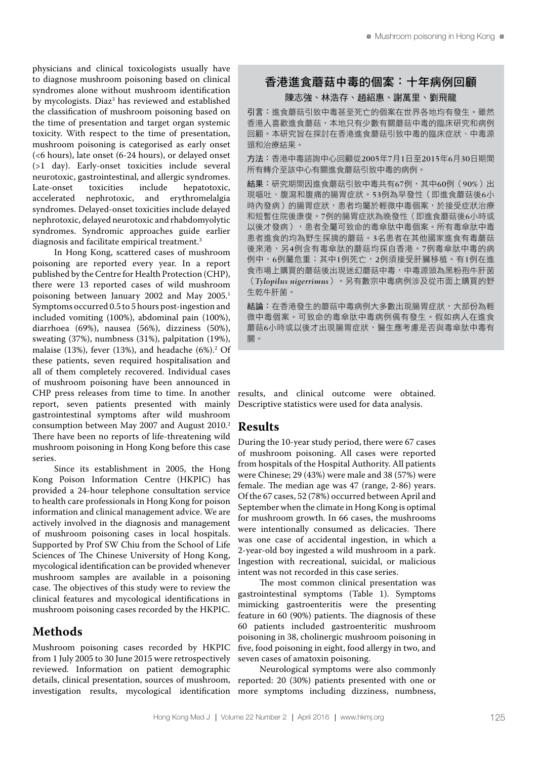physicians and clinical toxicologists usually have to diagnose mushroom poisoning based on clinical syndromes alone without mushroom identification by mycologists. Diaz $^3$  has reviewed and established the classification of mushroom poisoning based on the time of presentation and target organ systemic toxicity. With respect to the time of presentation, mushroom poisoning is categorised as early onset (<6 hours), late onset (6-24 hours), or delayed onset (>1 day). Early-onset toxicities include several neurotoxic, gastrointestinal, and allergic syndromes. Late-onset toxicities include hepatotoxic,<br>accelerated nephrotoxic, and erythromelalgia nephrotoxic, and syndromes. Delayed-onset toxicities include delayed nephrotoxic, delayed neurotoxic and rhabdomyolytic syndromes. Syndromic approaches guide earlier diagnosis and facilitate empirical treatment.<sup>3</sup>

In Hong Kong, scattered cases of mushroom poisoning are reported every year. In a report published by the Centre for Health Protection (CHP), there were 13 reported cases of wild mushroom poisoning between January 2002 and May 2005.<sup>1</sup> Symptoms occurred 0.5 to 5 hours post-ingestion and included vomiting (100%), abdominal pain (100%), diarrhoea (69%), nausea (56%), dizziness (50%), sweating (37%), numbness (31%), palpitation (19%), malaise  $(13\%)$ , fever  $(13\%)$ , and headache  $(6\%)$ <sup>2</sup> Of these patients, seven required hospitalisation and all of them completely recovered. Individual cases of mushroom poisoning have been announced in CHP press releases from time to time. In another report, seven patients presented with mainly gastrointestinal symptoms after wild mushroom consumption between May 2007 and August 2010.<sup>2</sup> There have been no reports of life-threatening wild mushroom poisoning in Hong Kong before this case series.

Since its establishment in 2005, the Hong Kong Poison Information Centre (HKPIC) has provided a 24-hour telephone consultation service to health care professionals in Hong Kong for poison information and clinical management advice. We are actively involved in the diagnosis and management of mushroom poisoning cases in local hospitals. Supported by Prof SW Chiu from the School of Life Sciences of The Chinese University of Hong Kong, mycological identification can be provided whenever mushroom samples are available in a poisoning case. The objectives of this study were to review the clinical features and mycological identifications in mushroom poisoning cases recorded by the HKPIC.

# **Methods**

Mushroom poisoning cases recorded by HKPIC from 1 July 2005 to 30 June 2015 were retrospectively reviewed. Information on patient demographic details, clinical presentation, sources of mushroom, investigation results, mycological identification

# 香港進食蘑菇中毒的個案:十年病例回顧

### 陳志強、林浩存、趙紹惠、謝萬里、劉飛龍

引言:進食蘑菇引致中毒甚至死亡的個案在世界各地均有發生。雖然 香港人喜歡進食蘑菇,本地只有少數有關蘑菇中毒的臨床研究和病例 回顧。本研究旨在探討在香港進食蘑菇引致中毒的臨床症狀、中毒源 頭和治療結果。

方法:香港中毒諮詢中心回顧從2005年7月1日至2015年6月30日期間 所有轉介至該中心有關進食蘑菇引致中毒的病例。

結果:研究期間因進食蘑菇引致中毒共有67例,其中60例(90%)出 現嘔叶、腹瀉和腹痛的陽胃症狀。53例為早發性(即進食蘑菇後6小 時內發病)的腸胃症狀,患者均屬於輕微中毒個案,於接受症狀治療 和短暫住院後康復。7例的腸胃症狀為晚發性(即進食蘑菇後6小時或 以後才發病),患者全屬可致命的毒傘肽中毒個案。所有毒傘肽中毒 患者進食的均為野生採摘的蘑菇。3名患者在其他國家進食有毒蘑菇 後來港,另4例含有毒傘肽的蘑菇均採自香港。7例毒傘肽中毒的病 例中,6例屬危重;其中1例死亡,2例須接受肝臟移植。有1例在進 食市場上購買的蘑菇後出現迷幻蘑菇中毒,中毒源頭為黑粉孢牛肝菌 (*Tylopilus nigerrimus*)。另有數宗中毒病例涉及從市面上購買的野 生乾牛肝菌。

結論:在香港發生的蘑菇中毒病例大多數出現腸胃症狀,大部份為輕 微中毒個案。可致命的毒傘肽中毒病例偶有發生。假如病人在進食 蘑菇6小時或以後才出現腸胃症狀,醫生應考慮是否與毒傘肽中毒有 關。

results, and clinical outcome were obtained. Descriptive statistics were used for data analysis.

### **Results**

During the 10-year study period, there were 67 cases of mushroom poisoning. All cases were reported from hospitals of the Hospital Authority. All patients were Chinese; 29 (43%) were male and 38 (57%) were female. The median age was 47 (range, 2-86) years. Of the 67 cases, 52 (78%) occurred between April and September when the climate in Hong Kong is optimal for mushroom growth. In 66 cases, the mushrooms were intentionally consumed as delicacies. There was one case of accidental ingestion, in which a 2-year-old boy ingested a wild mushroom in a park. Ingestion with recreational, suicidal, or malicious intent was not recorded in this case series.

The most common clinical presentation was gastrointestinal symptoms (Table 1). Symptoms mimicking gastroenteritis were the presenting feature in 60 (90%) patients. The diagnosis of these 60 patients included gastroenteritic mushroom poisoning in 38, cholinergic mushroom poisoning in five, food poisoning in eight, food allergy in two, and seven cases of amatoxin poisoning.

Neurological symptoms were also commonly reported: 20 (30%) patients presented with one or more symptoms including dizziness, numbness,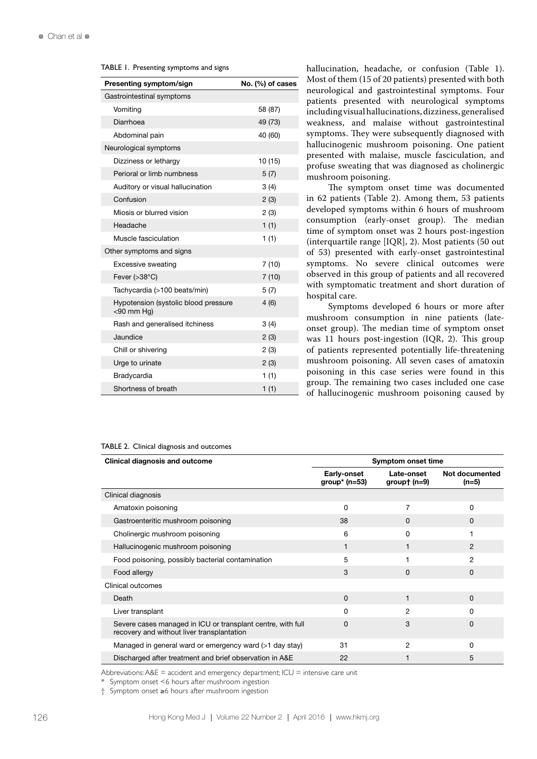#### TABLE 1. Presenting symptoms and signs

| Presenting symptom/sign                               | No. (%) of cases |
|-------------------------------------------------------|------------------|
| Gastrointestinal symptoms                             |                  |
| Vomiting                                              | 58 (87)          |
| Diarrhoea                                             | 49 (73)          |
| Abdominal pain                                        | 40 (60)          |
| Neurological symptoms                                 |                  |
| Dizziness or lethargy                                 | 10 (15)          |
| Perioral or limb numbness                             | 5(7)             |
| Auditory or visual hallucination                      | 3(4)             |
| Confusion                                             | 2(3)             |
| Miosis or blurred vision                              | 2(3)             |
| Headache                                              | 1(1)             |
| Muscle fasciculation                                  | 1(1)             |
| Other symptoms and signs                              |                  |
| Excessive sweating                                    | 7 (10)           |
| Fever $( >38^{\circ}C)$                               | 7(10)            |
| Tachycardia (>100 beats/min)                          | 5(7)             |
| Hypotension (systolic blood pressure<br>$<$ 90 mm Hg) | 4(6)             |
| Rash and generalised itchiness                        | 3(4)             |
| Jaundice                                              | 2(3)             |
| Chill or shivering                                    | 2(3)             |
| Urge to urinate                                       | 2(3)             |
| Bradycardia                                           | 1(1)             |
| Shortness of breath                                   | 1(1)             |

hallucination, headache, or confusion (Table 1). Most of them (15 of 20 patients) presented with both neurological and gastrointestinal symptoms. Four patients presented with neurological symptoms including visual hallucinations, dizziness, generalised weakness, and malaise without gastrointestinal symptoms. They were subsequently diagnosed with hallucinogenic mushroom poisoning. One patient presented with malaise, muscle fasciculation, and profuse sweating that was diagnosed as cholinergic mushroom poisoning.

The symptom onset time was documented in 62 patients (Table 2). Among them, 53 patients developed symptoms within 6 hours of mushroom consumption (early-onset group). The median time of symptom onset was 2 hours post-ingestion (interquartile range [IQR], 2). Most patients (50 out of 53) presented with early-onset gastrointestinal symptoms. No severe clinical outcomes were observed in this group of patients and all recovered with symptomatic treatment and short duration of hospital care.

Symptoms developed 6 hours or more after mushroom consumption in nine patients (lateonset group). The median time of symptom onset was 11 hours post-ingestion (IQR, 2). This group of patients represented potentially life-threatening mushroom poisoning. All seven cases of amatoxin poisoning in this case series were found in this group. The remaining two cases included one case of hallucinogenic mushroom poisoning caused by

#### TABLE 2. Clinical diagnosis and outcomes

| <b>Clinical diagnosis and outcome</b>                                                                     | <b>Symptom onset time</b>        |                              |                           |  |
|-----------------------------------------------------------------------------------------------------------|----------------------------------|------------------------------|---------------------------|--|
|                                                                                                           | Early-onset<br>group* ( $n=53$ ) | Late-onset<br>group† $(n=9)$ | Not documented<br>$(n=5)$ |  |
| Clinical diagnosis                                                                                        |                                  |                              |                           |  |
| Amatoxin poisoning                                                                                        | 0                                | 7                            | $\Omega$                  |  |
| Gastroenteritic mushroom poisoning                                                                        | 38                               | 0                            | 0                         |  |
| Cholinergic mushroom poisoning                                                                            | 6                                | 0                            |                           |  |
| Hallucinogenic mushroom poisoning                                                                         | 1                                | 1                            | $\mathcal{P}$             |  |
| Food poisoning, possibly bacterial contamination                                                          | 5                                |                              | 2                         |  |
| Food allergy                                                                                              | 3                                | $\Omega$                     | $\Omega$                  |  |
| Clinical outcomes                                                                                         |                                  |                              |                           |  |
| Death                                                                                                     | $\Omega$                         | 1                            | $\Omega$                  |  |
| Liver transplant                                                                                          | $\Omega$                         | $\overline{2}$               | O                         |  |
| Severe cases managed in ICU or transplant centre, with full<br>recovery and without liver transplantation | 0                                | 3                            | 0                         |  |
| Managed in general ward or emergency ward (>1 day stay)                                                   | 31                               | $\overline{2}$               | O                         |  |
| Discharged after treatment and brief observation in A&E                                                   | 22                               |                              | 5                         |  |

Abbreviations:  $AAE =$  accident and emergency department;  $ICU =$  intensive care unit

\* Symptom onset <6 hours after mushroom ingestion

† Symptom onset ≥6 hours after mushroom ingestion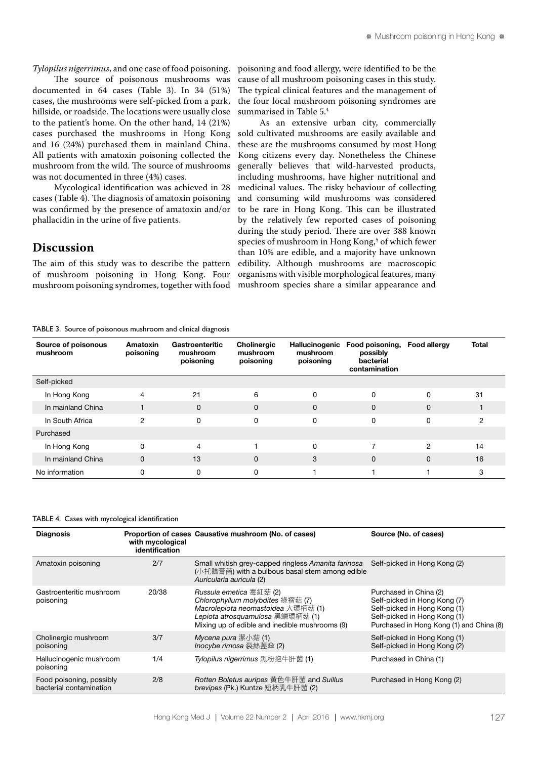*Tylopilus nigerrimus*, and one case of food poisoning.

The source of poisonous mushrooms was documented in 64 cases (Table 3). In 34 (51%) cases, the mushrooms were self-picked from a park, hillside, or roadside. The locations were usually close to the patient's home. On the other hand, 14 (21%) cases purchased the mushrooms in Hong Kong and 16 (24%) purchased them in mainland China. All patients with amatoxin poisoning collected the mushroom from the wild. The source of mushrooms was not documented in three (4%) cases.

Mycological identification was achieved in 28 cases (Table 4). The diagnosis of amatoxin poisoning was confirmed by the presence of amatoxin and/or phallacidin in the urine of five patients.

### **Discussion**

The aim of this study was to describe the pattern of mushroom poisoning in Hong Kong. Four mushroom poisoning syndromes, together with food poisoning and food allergy, were identified to be the cause of all mushroom poisoning cases in this study. The typical clinical features and the management of the four local mushroom poisoning syndromes are summarised in Table 5.4

As an extensive urban city, commercially sold cultivated mushrooms are easily available and these are the mushrooms consumed by most Hong Kong citizens every day. Nonetheless the Chinese generally believes that wild-harvested products, including mushrooms, have higher nutritional and medicinal values. The risky behaviour of collecting and consuming wild mushrooms was considered to be rare in Hong Kong. This can be illustrated by the relatively few reported cases of poisoning during the study period. There are over 388 known species of mushroom in Hong Kong,5 of which fewer than 10% are edible, and a majority have unknown edibility. Although mushrooms are macroscopic organisms with visible morphological features, many mushroom species share a similar appearance and

TABLE 3. Source of poisonous mushroom and clinical diagnosis

| Source of poisonous<br>mushroom | Amatoxin<br>poisoning | Gastroenteritic<br>mushroom<br>poisoning | Cholinergic<br>mushroom<br>poisoning | Hallucinogenic<br>mushroom<br>poisoning | Food poisoning,<br>possibly<br>bacterial<br>contamination | Food allergy  | <b>Total</b> |
|---------------------------------|-----------------------|------------------------------------------|--------------------------------------|-----------------------------------------|-----------------------------------------------------------|---------------|--------------|
| Self-picked                     |                       |                                          |                                      |                                         |                                                           |               |              |
| In Hong Kong                    | $\overline{4}$        | 21                                       | 6                                    | $\Omega$                                | 0                                                         | $\Omega$      | 31           |
| In mainland China               |                       | $\mathbf 0$                              | $\Omega$                             | $\Omega$                                | 0                                                         | $\Omega$      |              |
| In South Africa                 | $\mathfrak{p}$        | $\Omega$                                 | 0                                    | 0                                       | 0                                                         | 0             | 2            |
| Purchased                       |                       |                                          |                                      |                                         |                                                           |               |              |
| In Hong Kong                    | 0                     | $\overline{4}$                           |                                      | 0                                       |                                                           | $\mathcal{P}$ | 14           |
| In mainland China               | $\Omega$              | 13                                       | $\mathbf 0$                          | 3                                       | 0                                                         | $\Omega$      | 16           |
| No information                  | O                     | 0                                        |                                      |                                         |                                                           |               | 3            |

#### TABLE 4. Cases with mycological identification

| <b>Diagnosis</b>                                    | with mycological<br>identification | Proportion of cases Causative mushroom (No. of cases)                                                                                                                                   | Source (No. of cases)                                                                                                                                              |
|-----------------------------------------------------|------------------------------------|-----------------------------------------------------------------------------------------------------------------------------------------------------------------------------------------|--------------------------------------------------------------------------------------------------------------------------------------------------------------------|
| Amatoxin poisoning                                  | 2/7                                | Small whitish grey-capped ringless Amanita farinosa<br>(小托鵝膏菌) with a bulbous basal stem among edible<br>Auricularia auricula (2)                                                       | Self-picked in Hong Kong (2)                                                                                                                                       |
| Gastroenteritic mushroom<br>poisoning               | 20/38                              | Russula emetica 毒紅菇 (2)<br>Chlorophyllum molybdites 綠褶菇 (7)<br>Macrolepiota neomastoidea 大環柄菇 (1)<br>Lepiota atrosquamulosa 黑鱗環柄菇 (1)<br>Mixing up of edible and inedible mushrooms (9) | Purchased in China (2)<br>Self-picked in Hong Kong (7)<br>Self-picked in Hong Kong (1)<br>Self-picked in Hong Kong (1)<br>Purchased in Hong Kong (1) and China (8) |
| Cholinergic mushroom<br>poisoning                   | 3/7                                | Mycena pura 潔小菇 (1)<br>Inocybe rimosa 裂絲蓋傘 (2)                                                                                                                                          | Self-picked in Hong Kong (1)<br>Self-picked in Hong Kong (2)                                                                                                       |
| Hallucinogenic mushroom<br>poisoning                | 1/4                                | Tylopilus nigerrimus 黑粉孢牛肝菌 (1)                                                                                                                                                         | Purchased in China (1)                                                                                                                                             |
| Food poisoning, possibly<br>bacterial contamination | 2/8                                | Rotten Boletus auripes 黄色牛肝菌 and Suillus<br>brevipes (Pk.) Kuntze 短柄乳牛肝菌 (2)                                                                                                            | Purchased in Hong Kong (2)                                                                                                                                         |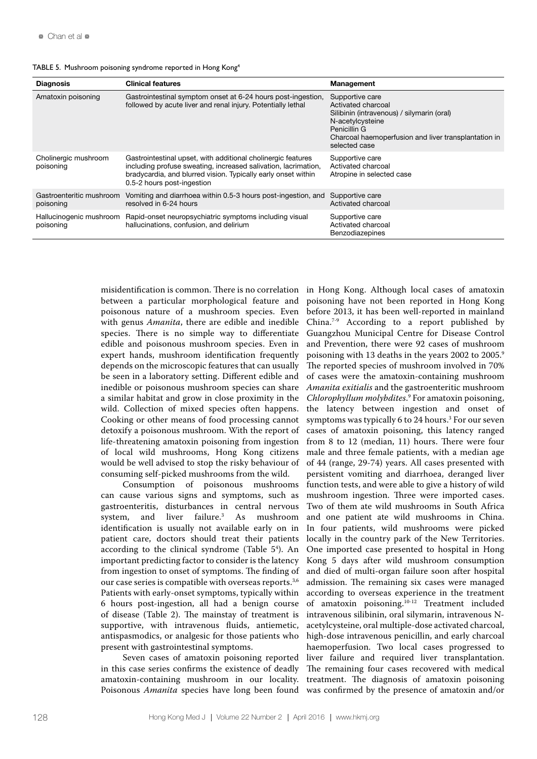| TABLE 5. Mushroom poisoning syndrome reported in Hong Kong <sup>4</sup> |  |  |  |  |
|-------------------------------------------------------------------------|--|--|--|--|
|-------------------------------------------------------------------------|--|--|--|--|

| <b>Diagnosis</b>                      | <b>Clinical features</b>                                                                                                                                                                                                      | Management                                                                                                                                                                                       |
|---------------------------------------|-------------------------------------------------------------------------------------------------------------------------------------------------------------------------------------------------------------------------------|--------------------------------------------------------------------------------------------------------------------------------------------------------------------------------------------------|
| Amatoxin poisoning                    | Gastrointestinal symptom onset at 6-24 hours post-ingestion,<br>followed by acute liver and renal injury. Potentially lethal                                                                                                  | Supportive care<br>Activated charcoal<br>Silibinin (intravenous) / silymarin (oral)<br>N-acetylcysteine<br>Penicillin G<br>Charcoal haemoperfusion and liver transplantation in<br>selected case |
| Cholinergic mushroom<br>poisoning     | Gastrointestinal upset, with additional cholinergic features<br>including profuse sweating, increased salivation, lacrimation,<br>bradycardia, and blurred vision. Typically early onset within<br>0.5-2 hours post-ingestion | Supportive care<br>Activated charcoal<br>Atropine in selected case                                                                                                                               |
| Gastroenteritic mushroom<br>poisoning | Vomiting and diarrhoea within 0.5-3 hours post-ingestion, and<br>resolved in 6-24 hours                                                                                                                                       | Supportive care<br>Activated charcoal                                                                                                                                                            |
| Hallucinogenic mushroom<br>poisoning  | Rapid-onset neuropsychiatric symptoms including visual<br>hallucinations, confusion, and delirium                                                                                                                             | Supportive care<br>Activated charcoal<br><b>Benzodiazepines</b>                                                                                                                                  |

misidentification is common. There is no correlation between a particular morphological feature and poisonous nature of a mushroom species. Even with genus *Amanita*, there are edible and inedible species. There is no simple way to differentiate edible and poisonous mushroom species. Even in expert hands, mushroom identification frequently depends on the microscopic features that can usually be seen in a laboratory setting. Different edible and inedible or poisonous mushroom species can share a similar habitat and grow in close proximity in the wild. Collection of mixed species often happens. Cooking or other means of food processing cannot detoxify a poisonous mushroom. With the report of life-threatening amatoxin poisoning from ingestion of local wild mushrooms, Hong Kong citizens would be well advised to stop the risky behaviour of consuming self-picked mushrooms from the wild.

Consumption of poisonous mushrooms can cause various signs and symptoms, such as gastroenteritis, disturbances in central nervous<br>system, and liver failure.<sup>3</sup> As mushroom and liver failure.<sup>3</sup> As mushroom identification is usually not available early on in patient care, doctors should treat their patients according to the clinical syndrome (Table 5<sup>4</sup>). An important predicting factor to consider is the latency from ingestion to onset of symptoms. The finding of our case series is compatible with overseas reports.<sup>3,6</sup> Patients with early-onset symptoms, typically within 6 hours post-ingestion, all had a benign course of disease (Table 2). The mainstay of treatment is supportive, with intravenous fluids, antiemetic, antispasmodics, or analgesic for those patients who present with gastrointestinal symptoms.

Seven cases of amatoxin poisoning reported in this case series confirms the existence of deadly amatoxin-containing mushroom in our locality.

Poisonous *Amanita* species have long been found was confirmed by the presence of amatoxin and/or in Hong Kong. Although local cases of amatoxin poisoning have not been reported in Hong Kong before 2013, it has been well-reported in mainland China.7-9 According to a report published by Guangzhou Municipal Centre for Disease Control and Prevention, there were 92 cases of mushroom poisoning with 13 deaths in the years 2002 to 2005.<sup>9</sup> The reported species of mushroom involved in 70% of cases were the amatoxin-containing mushroom *Amanita exitialis* and the gastroenteritic mushroom *Chlorophyllum molybdites*. 9 For amatoxin poisoning, the latency between ingestion and onset of symptoms was typically 6 to 24 hours.<sup>3</sup> For our seven cases of amatoxin poisoning, this latency ranged from 8 to 12 (median, 11) hours. There were four male and three female patients, with a median age of 44 (range, 29-74) years. All cases presented with persistent vomiting and diarrhoea, deranged liver function tests, and were able to give a history of wild mushroom ingestion. Three were imported cases. Two of them ate wild mushrooms in South Africa and one patient ate wild mushrooms in China. In four patients, wild mushrooms were picked locally in the country park of the New Territories. One imported case presented to hospital in Hong Kong 5 days after wild mushroom consumption and died of multi-organ failure soon after hospital admission. The remaining six cases were managed according to overseas experience in the treatment of amatoxin poisoning.10-12 Treatment included intravenous silibinin, oral silymarin, intravenous Nacetylcysteine, oral multiple-dose activated charcoal, high-dose intravenous penicillin, and early charcoal haemoperfusion. Two local cases progressed to liver failure and required liver transplantation. The remaining four cases recovered with medical treatment. The diagnosis of amatoxin poisoning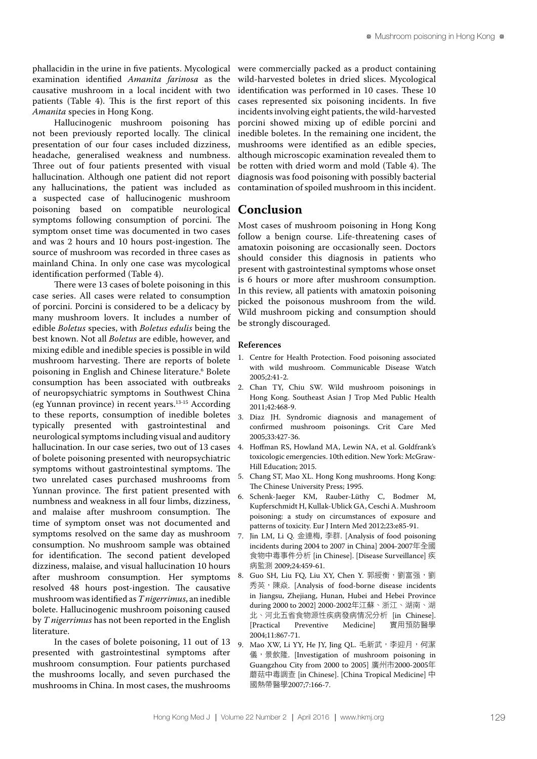phallacidin in the urine in five patients. Mycological examination identified *Amanita farinosa* as the causative mushroom in a local incident with two patients (Table 4). This is the first report of this *Amanita* species in Hong Kong.

Hallucinogenic mushroom poisoning has not been previously reported locally. The clinical presentation of our four cases included dizziness, headache, generalised weakness and numbness. Three out of four patients presented with visual hallucination. Although one patient did not report any hallucinations, the patient was included as a suspected case of hallucinogenic mushroom poisoning based on compatible neurological symptoms following consumption of porcini. The symptom onset time was documented in two cases and was 2 hours and 10 hours post-ingestion. The source of mushroom was recorded in three cases as mainland China. In only one case was mycological identification performed (Table 4).

There were 13 cases of bolete poisoning in this case series. All cases were related to consumption of porcini. Porcini is considered to be a delicacy by many mushroom lovers. It includes a number of edible *Boletus* species, with *Boletus edulis* being the best known. Not all *Boletus* are edible, however, and mixing edible and inedible species is possible in wild mushroom harvesting. There are reports of bolete poisoning in English and Chinese literature.6 Bolete consumption has been associated with outbreaks of neuropsychiatric symptoms in Southwest China (eg Yunnan province) in recent years.13-15 According to these reports, consumption of inedible boletes typically presented with gastrointestinal and neurological symptoms including visual and auditory hallucination. In our case series, two out of 13 cases of bolete poisoning presented with neuropsychiatric symptoms without gastrointestinal symptoms. The two unrelated cases purchased mushrooms from Yunnan province. The first patient presented with numbness and weakness in all four limbs, dizziness, and malaise after mushroom consumption. The time of symptom onset was not documented and symptoms resolved on the same day as mushroom consumption. No mushroom sample was obtained for identification. The second patient developed dizziness, malaise, and visual hallucination 10 hours after mushroom consumption. Her symptoms resolved 48 hours post-ingestion. The causative mushroom was identified as *T nigerrimus*, an inedible bolete. Hallucinogenic mushroom poisoning caused by *T nigerrimus* has not been reported in the English literature.

In the cases of bolete poisoning, 11 out of 13 presented with gastrointestinal symptoms after mushroom consumption. Four patients purchased the mushrooms locally, and seven purchased the mushrooms in China. In most cases, the mushrooms

were commercially packed as a product containing wild-harvested boletes in dried slices. Mycological identification was performed in 10 cases. These 10 cases represented six poisoning incidents. In five incidents involving eight patients, the wild-harvested porcini showed mixing up of edible porcini and inedible boletes. In the remaining one incident, the mushrooms were identified as an edible species, although microscopic examination revealed them to be rotten with dried worm and mold (Table 4). The diagnosis was food poisoning with possibly bacterial contamination of spoiled mushroom in this incident.

### **Conclusion**

Most cases of mushroom poisoning in Hong Kong follow a benign course. Life-threatening cases of amatoxin poisoning are occasionally seen. Doctors should consider this diagnosis in patients who present with gastrointestinal symptoms whose onset is 6 hours or more after mushroom consumption. In this review, all patients with amatoxin poisoning picked the poisonous mushroom from the wild. Wild mushroom picking and consumption should be strongly discouraged.

### **References**

- 1. Centre for Health Protection. Food poisoning associated with wild mushroom. Communicable Disease Watch  $2005:2.41-2.$
- 2. Chan TY, Chiu SW. Wild mushroom poisonings in Hong Kong. Southeast Asian J Trop Med Public Health 2011;42:468-9.
- 3. Diaz JH. Syndromic diagnosis and management of confirmed mushroom poisonings. Crit Care Med 2005;33:427-36.
- 4. Hoffman RS, Howland MA, Lewin NA, et al. Goldfrank's toxicologic emergencies. 10th edition. New York: McGraw-Hill Education; 2015.
- 5. Chang ST, Mao XL. Hong Kong mushrooms. Hong Kong: The Chinese University Press; 1995.
- 6. Schenk-Jaeger KM, Rauber-Lüthy C, Bodmer M, Kupferschmidt H, Kullak-Ublick GA, Ceschi A. Mushroom poisoning: a study on circumstances of exposure and patterns of toxicity. Eur J Intern Med 2012;23:e85-91.
- 7. Jin LM, Li Q. 金連梅, 李群. [Analysis of food poisoning incidents during 2004 to 2007 in China] 2004-2007年全國 食物中毒事件分析 [in Chinese]. [Disease Surveillance] 疾 病監測 2009;24:459-61.
- 8. Guo SH, Liu FQ, Liu XY, Chen Y. 郭綬衡,劉富强,劉 秀英,陳焱. [Analysis of food-borne disease incidents in Jiangsu, Zhejiang, Hunan, Hubei and Hebei Province during 2000 to 2002] 2000-2002年江蘇、浙江、湖南、湖 北、河北五省食物源性疾病發病情况分析 [in Chinese].<br>[Practical Preventive Medicine] 實用預防醫學 實用預防醫學 2004;11:867-71.
- 9. Mao XW, Li YY, He JY, Jing QL. 毛新武,李迎月, 何潔 儀,景飲隆. [Investigation of mushroom poisoning in Guangzhou City from 2000 to 2005] 廣州市2000-2005年 蘑菇中毒調查 [in Chinese]. [China Tropical Medicine] 中 國熱帶醫學2007;7:166-7.